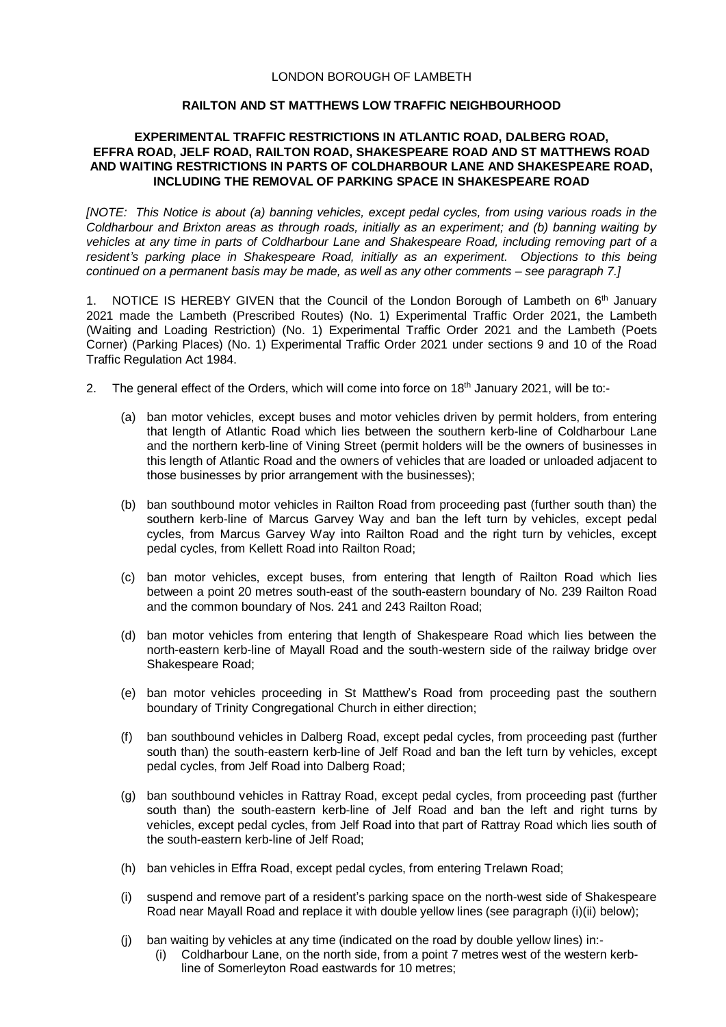## LONDON BOROUGH OF LAMBETH

## **RAILTON AND ST MATTHEWS LOW TRAFFIC NEIGHBOURHOOD**

## **EXPERIMENTAL TRAFFIC RESTRICTIONS IN ATLANTIC ROAD, DALBERG ROAD, EFFRA ROAD, JELF ROAD, RAILTON ROAD, SHAKESPEARE ROAD AND ST MATTHEWS ROAD AND WAITING RESTRICTIONS IN PARTS OF COLDHARBOUR LANE AND SHAKESPEARE ROAD, INCLUDING THE REMOVAL OF PARKING SPACE IN SHAKESPEARE ROAD**

*[NOTE: This Notice is about (a) banning vehicles, except pedal cycles, from using various roads in the Coldharbour and Brixton areas as through roads, initially as an experiment; and (b) banning waiting by vehicles at any time in parts of Coldharbour Lane and Shakespeare Road, including removing part of a resident's parking place in Shakespeare Road, initially as an experiment. Objections to this being continued on a permanent basis may be made, as well as any other comments – see paragraph 7.]*

1. NOTICE IS HEREBY GIVEN that the Council of the London Borough of Lambeth on 6<sup>th</sup> January 2021 made the Lambeth (Prescribed Routes) (No. 1) Experimental Traffic Order 2021, the Lambeth (Waiting and Loading Restriction) (No. 1) Experimental Traffic Order 2021 and the Lambeth (Poets Corner) (Parking Places) (No. 1) Experimental Traffic Order 2021 under sections 9 and 10 of the Road Traffic Regulation Act 1984.

- 2. The general effect of the Orders, which will come into force on 18<sup>th</sup> January 2021, will be to:-
	- (a) ban motor vehicles, except buses and motor vehicles driven by permit holders, from entering that length of Atlantic Road which lies between the southern kerb-line of Coldharbour Lane and the northern kerb-line of Vining Street (permit holders will be the owners of businesses in this length of Atlantic Road and the owners of vehicles that are loaded or unloaded adjacent to those businesses by prior arrangement with the businesses);
	- (b) ban southbound motor vehicles in Railton Road from proceeding past (further south than) the southern kerb-line of Marcus Garvey Way and ban the left turn by vehicles, except pedal cycles, from Marcus Garvey Way into Railton Road and the right turn by vehicles, except pedal cycles, from Kellett Road into Railton Road;
	- (c) ban motor vehicles, except buses, from entering that length of Railton Road which lies between a point 20 metres south-east of the south-eastern boundary of No. 239 Railton Road and the common boundary of Nos. 241 and 243 Railton Road;
	- (d) ban motor vehicles from entering that length of Shakespeare Road which lies between the north-eastern kerb-line of Mayall Road and the south-western side of the railway bridge over Shakespeare Road;
	- (e) ban motor vehicles proceeding in St Matthew's Road from proceeding past the southern boundary of Trinity Congregational Church in either direction;
	- (f) ban southbound vehicles in Dalberg Road, except pedal cycles, from proceeding past (further south than) the south-eastern kerb-line of Jelf Road and ban the left turn by vehicles, except pedal cycles, from Jelf Road into Dalberg Road;
	- (g) ban southbound vehicles in Rattray Road, except pedal cycles, from proceeding past (further south than) the south-eastern kerb-line of Jelf Road and ban the left and right turns by vehicles, except pedal cycles, from Jelf Road into that part of Rattray Road which lies south of the south-eastern kerb-line of Jelf Road;
	- (h) ban vehicles in Effra Road, except pedal cycles, from entering Trelawn Road;
	- (i) suspend and remove part of a resident's parking space on the north-west side of Shakespeare Road near Mayall Road and replace it with double yellow lines (see paragraph (i)(ii) below);
	- (j) ban waiting by vehicles at any time (indicated on the road by double yellow lines) in:- (i) Coldharbour Lane, on the north side, from a point 7 metres west of the western kerbline of Somerleyton Road eastwards for 10 metres;